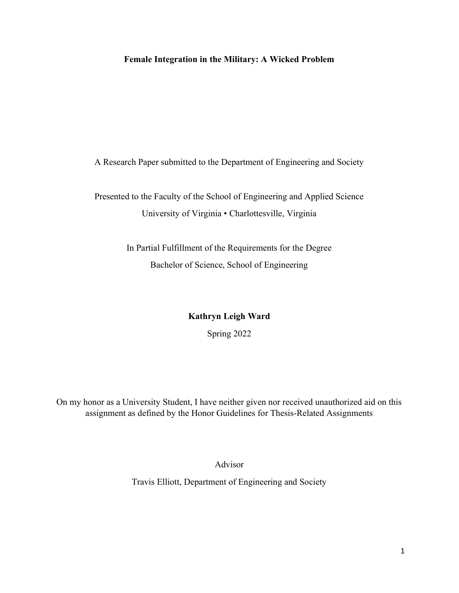# Female Integration in the Military: A Wicked Problem

A Research Paper submitted to the Department of Engineering and Society

Presented to the Faculty of the School of Engineering and Applied Science University of Virginia • Charlottesville, Virginia

> In Partial Fulfillment of the Requirements for the Degree Bachelor of Science, School of Engineering

> > Kathryn Leigh Ward Spring 2022

On my honor as a University Student, I have neither given nor received unauthorized aid on this assignment as defined by the Honor Guidelines for Thesis-Related Assignments

Advisor

Travis Elliott, Department of Engineering and Society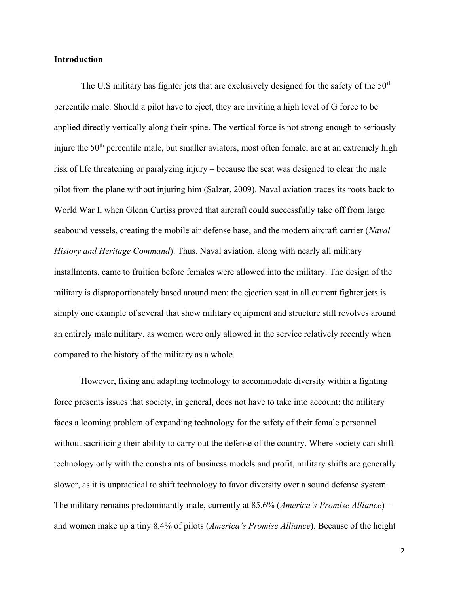## Introduction

The U.S military has fighter jets that are exclusively designed for the safety of the  $50<sup>th</sup>$ percentile male. Should a pilot have to eject, they are inviting a high level of G force to be applied directly vertically along their spine. The vertical force is not strong enough to seriously injure the 50<sup>th</sup> percentile male, but smaller aviators, most often female, are at an extremely high risk of life threatening or paralyzing injury – because the seat was designed to clear the male pilot from the plane without injuring him (Salzar, 2009). Naval aviation traces its roots back to World War I, when Glenn Curtiss proved that aircraft could successfully take off from large seabound vessels, creating the mobile air defense base, and the modern aircraft carrier (Naval History and Heritage Command). Thus, Naval aviation, along with nearly all military installments, came to fruition before females were allowed into the military. The design of the military is disproportionately based around men: the ejection seat in all current fighter jets is simply one example of several that show military equipment and structure still revolves around an entirely male military, as women were only allowed in the service relatively recently when compared to the history of the military as a whole.

 However, fixing and adapting technology to accommodate diversity within a fighting force presents issues that society, in general, does not have to take into account: the military faces a looming problem of expanding technology for the safety of their female personnel without sacrificing their ability to carry out the defense of the country. Where society can shift technology only with the constraints of business models and profit, military shifts are generally slower, as it is unpractical to shift technology to favor diversity over a sound defense system. The military remains predominantly male, currently at 85.6% (*America's Promise Alliance*) – and women make up a tiny 8.4% of pilots (America's Promise Alliance). Because of the height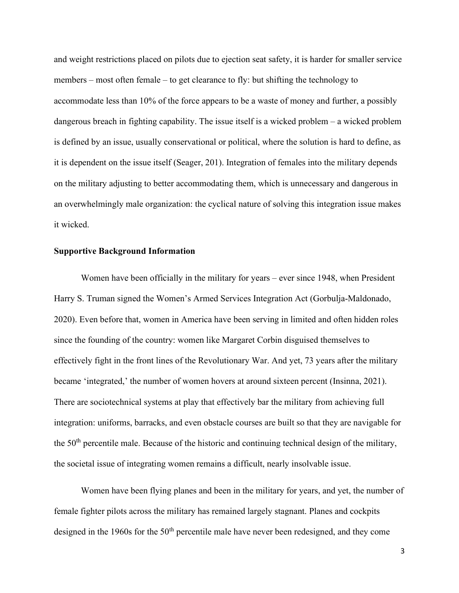and weight restrictions placed on pilots due to ejection seat safety, it is harder for smaller service members – most often female – to get clearance to fly: but shifting the technology to accommodate less than 10% of the force appears to be a waste of money and further, a possibly dangerous breach in fighting capability. The issue itself is a wicked problem – a wicked problem is defined by an issue, usually conservational or political, where the solution is hard to define, as it is dependent on the issue itself (Seager, 201). Integration of females into the military depends on the military adjusting to better accommodating them, which is unnecessary and dangerous in an overwhelmingly male organization: the cyclical nature of solving this integration issue makes it wicked.

### Supportive Background Information

Women have been officially in the military for years – ever since 1948, when President Harry S. Truman signed the Women's Armed Services Integration Act (Gorbulja-Maldonado, 2020). Even before that, women in America have been serving in limited and often hidden roles since the founding of the country: women like Margaret Corbin disguised themselves to effectively fight in the front lines of the Revolutionary War. And yet, 73 years after the military became 'integrated,' the number of women hovers at around sixteen percent (Insinna, 2021). There are sociotechnical systems at play that effectively bar the military from achieving full integration: uniforms, barracks, and even obstacle courses are built so that they are navigable for the 50<sup>th</sup> percentile male. Because of the historic and continuing technical design of the military, the societal issue of integrating women remains a difficult, nearly insolvable issue.

 Women have been flying planes and been in the military for years, and yet, the number of female fighter pilots across the military has remained largely stagnant. Planes and cockpits designed in the 1960s for the  $50<sup>th</sup>$  percentile male have never been redesigned, and they come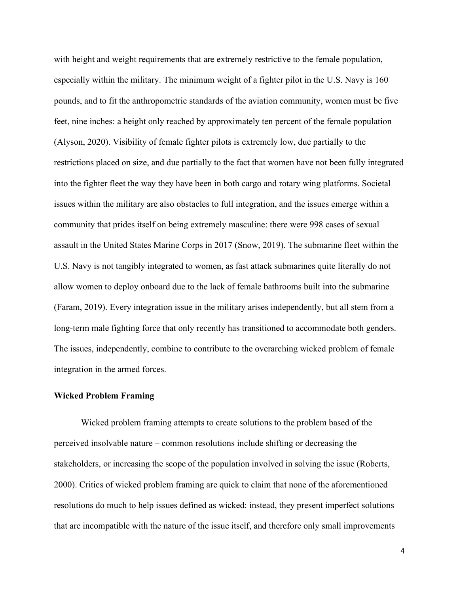with height and weight requirements that are extremely restrictive to the female population, especially within the military. The minimum weight of a fighter pilot in the U.S. Navy is 160 pounds, and to fit the anthropometric standards of the aviation community, women must be five feet, nine inches: a height only reached by approximately ten percent of the female population (Alyson, 2020). Visibility of female fighter pilots is extremely low, due partially to the restrictions placed on size, and due partially to the fact that women have not been fully integrated into the fighter fleet the way they have been in both cargo and rotary wing platforms. Societal issues within the military are also obstacles to full integration, and the issues emerge within a community that prides itself on being extremely masculine: there were 998 cases of sexual assault in the United States Marine Corps in 2017 (Snow, 2019). The submarine fleet within the U.S. Navy is not tangibly integrated to women, as fast attack submarines quite literally do not allow women to deploy onboard due to the lack of female bathrooms built into the submarine (Faram, 2019). Every integration issue in the military arises independently, but all stem from a long-term male fighting force that only recently has transitioned to accommodate both genders. The issues, independently, combine to contribute to the overarching wicked problem of female integration in the armed forces.

## Wicked Problem Framing

Wicked problem framing attempts to create solutions to the problem based of the perceived insolvable nature – common resolutions include shifting or decreasing the stakeholders, or increasing the scope of the population involved in solving the issue (Roberts, 2000). Critics of wicked problem framing are quick to claim that none of the aforementioned resolutions do much to help issues defined as wicked: instead, they present imperfect solutions that are incompatible with the nature of the issue itself, and therefore only small improvements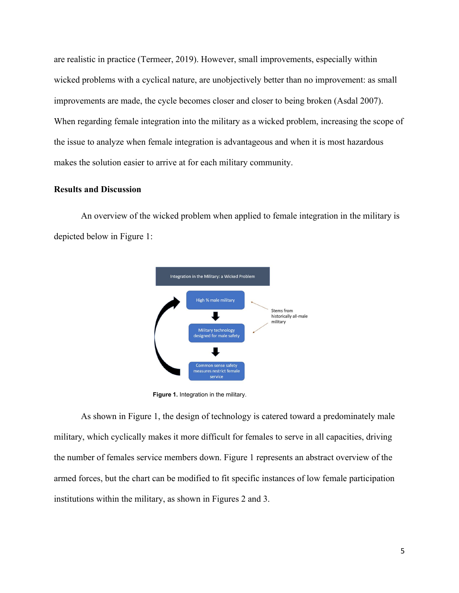are realistic in practice (Termeer, 2019). However, small improvements, especially within wicked problems with a cyclical nature, are unobjectively better than no improvement: as small improvements are made, the cycle becomes closer and closer to being broken (Asdal 2007). When regarding female integration into the military as a wicked problem, increasing the scope of the issue to analyze when female integration is advantageous and when it is most hazardous makes the solution easier to arrive at for each military community.

#### Results and Discussion

An overview of the wicked problem when applied to female integration in the military is depicted below in Figure 1:



Figure 1. Integration in the military.

As shown in Figure 1, the design of technology is catered toward a predominately male military, which cyclically makes it more difficult for females to serve in all capacities, driving the number of females service members down. Figure 1 represents an abstract overview of the armed forces, but the chart can be modified to fit specific instances of low female participation institutions within the military, as shown in Figures 2 and 3.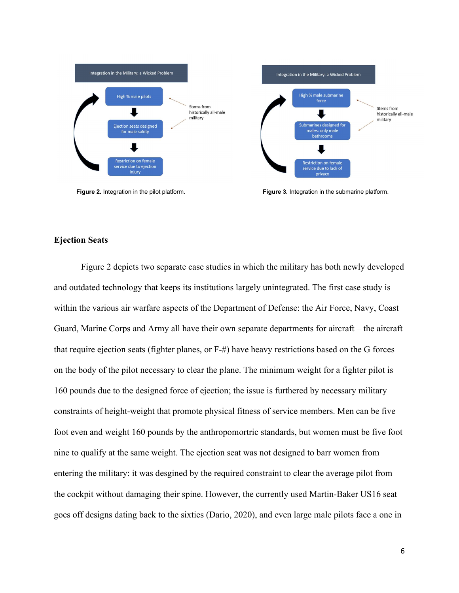

Figure 2. Integration in the pilot platform. The submarine platform. Figure 3. Integration in the submarine platform.

## Ejection Seats

Figure 2 depicts two separate case studies in which the military has both newly developed and outdated technology that keeps its institutions largely unintegrated. The first case study is within the various air warfare aspects of the Department of Defense: the Air Force, Navy, Coast Guard, Marine Corps and Army all have their own separate departments for aircraft – the aircraft that require ejection seats (fighter planes, or F-#) have heavy restrictions based on the G forces on the body of the pilot necessary to clear the plane. The minimum weight for a fighter pilot is 160 pounds due to the designed force of ejection; the issue is furthered by necessary military constraints of height-weight that promote physical fitness of service members. Men can be five foot even and weight 160 pounds by the anthropomortric standards, but women must be five foot nine to qualify at the same weight. The ejection seat was not designed to barr women from entering the military: it was desgined by the required constraint to clear the average pilot from the cockpit without damaging their spine. However, the currently used Martin-Baker US16 seat goes off designs dating back to the sixties (Dario, 2020), and even large male pilots face a one in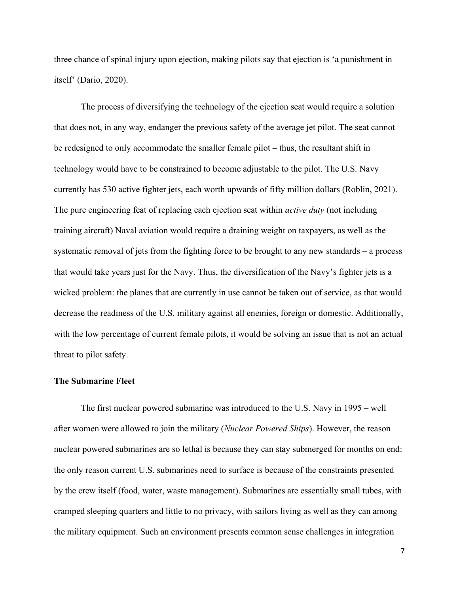three chance of spinal injury upon ejection, making pilots say that ejection is 'a punishment in itself' (Dario, 2020).

 The process of diversifying the technology of the ejection seat would require a solution that does not, in any way, endanger the previous safety of the average jet pilot. The seat cannot be redesigned to only accommodate the smaller female pilot – thus, the resultant shift in technology would have to be constrained to become adjustable to the pilot. The U.S. Navy currently has 530 active fighter jets, each worth upwards of fifty million dollars (Roblin, 2021). The pure engineering feat of replacing each ejection seat within *active duty* (not including training aircraft) Naval aviation would require a draining weight on taxpayers, as well as the systematic removal of jets from the fighting force to be brought to any new standards – a process that would take years just for the Navy. Thus, the diversification of the Navy's fighter jets is a wicked problem: the planes that are currently in use cannot be taken out of service, as that would decrease the readiness of the U.S. military against all enemies, foreign or domestic. Additionally, with the low percentage of current female pilots, it would be solving an issue that is not an actual threat to pilot safety.

#### The Submarine Fleet

 The first nuclear powered submarine was introduced to the U.S. Navy in 1995 – well after women were allowed to join the military (Nuclear Powered Ships). However, the reason nuclear powered submarines are so lethal is because they can stay submerged for months on end: the only reason current U.S. submarines need to surface is because of the constraints presented by the crew itself (food, water, waste management). Submarines are essentially small tubes, with cramped sleeping quarters and little to no privacy, with sailors living as well as they can among the military equipment. Such an environment presents common sense challenges in integration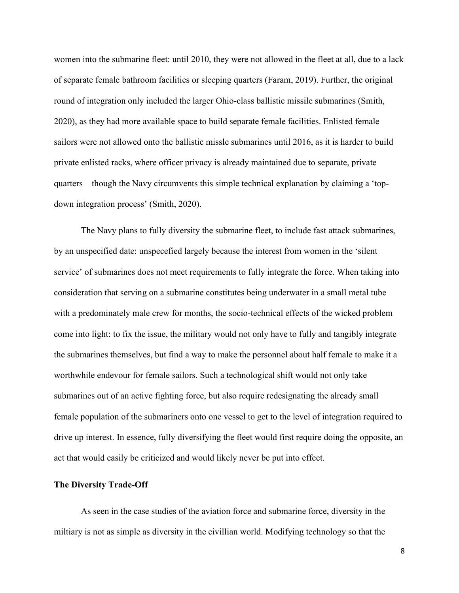women into the submarine fleet: until 2010, they were not allowed in the fleet at all, due to a lack of separate female bathroom facilities or sleeping quarters (Faram, 2019). Further, the original round of integration only included the larger Ohio-class ballistic missile submarines (Smith, 2020), as they had more available space to build separate female facilities. Enlisted female sailors were not allowed onto the ballistic missle submarines until 2016, as it is harder to build private enlisted racks, where officer privacy is already maintained due to separate, private quarters – though the Navy circumvents this simple technical explanation by claiming a 'topdown integration process' (Smith, 2020).

The Navy plans to fully diversity the submarine fleet, to include fast attack submarines, by an unspecified date: unspecefied largely because the interest from women in the 'silent service' of submarines does not meet requirements to fully integrate the force. When taking into consideration that serving on a submarine constitutes being underwater in a small metal tube with a predominately male crew for months, the socio-technical effects of the wicked problem come into light: to fix the issue, the military would not only have to fully and tangibly integrate the submarines themselves, but find a way to make the personnel about half female to make it a worthwhile endevour for female sailors. Such a technological shift would not only take submarines out of an active fighting force, but also require redesignating the already small female population of the submariners onto one vessel to get to the level of integration required to drive up interest. In essence, fully diversifying the fleet would first require doing the opposite, an act that would easily be criticized and would likely never be put into effect.

## The Diversity Trade-Off

As seen in the case studies of the aviation force and submarine force, diversity in the miltiary is not as simple as diversity in the civillian world. Modifying technology so that the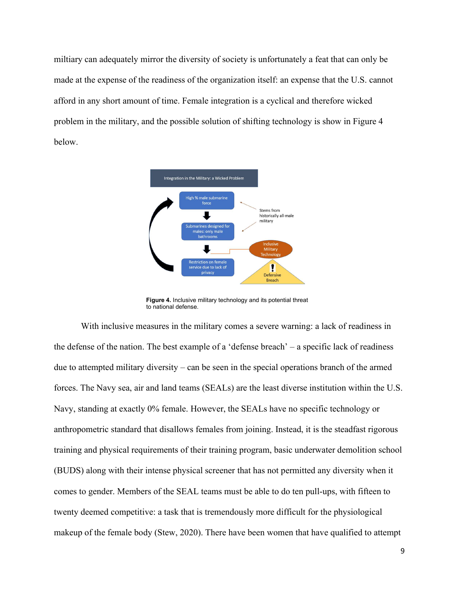miltiary can adequately mirror the diversity of society is unfortunately a feat that can only be made at the expense of the readiness of the organization itself: an expense that the U.S. cannot afford in any short amount of time. Female integration is a cyclical and therefore wicked problem in the military, and the possible solution of shifting technology is show in Figure 4 below.



Figure 4. Inclusive military technology and its potential threat to national defense.

 With inclusive measures in the military comes a severe warning: a lack of readiness in the defense of the nation. The best example of a 'defense breach' – a specific lack of readiness due to attempted military diversity – can be seen in the special operations branch of the armed forces. The Navy sea, air and land teams (SEALs) are the least diverse institution within the U.S. Navy, standing at exactly 0% female. However, the SEALs have no specific technology or anthropometric standard that disallows females from joining. Instead, it is the steadfast rigorous training and physical requirements of their training program, basic underwater demolition school (BUDS) along with their intense physical screener that has not permitted any diversity when it comes to gender. Members of the SEAL teams must be able to do ten pull-ups, with fifteen to twenty deemed competitive: a task that is tremendously more difficult for the physiological makeup of the female body (Stew, 2020). There have been women that have qualified to attempt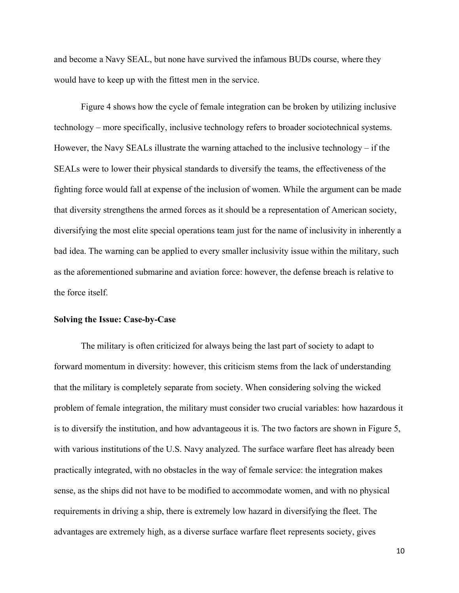and become a Navy SEAL, but none have survived the infamous BUDs course, where they would have to keep up with the fittest men in the service.

 Figure 4 shows how the cycle of female integration can be broken by utilizing inclusive technology – more specifically, inclusive technology refers to broader sociotechnical systems. However, the Navy SEALs illustrate the warning attached to the inclusive technology – if the SEALs were to lower their physical standards to diversify the teams, the effectiveness of the fighting force would fall at expense of the inclusion of women. While the argument can be made that diversity strengthens the armed forces as it should be a representation of American society, diversifying the most elite special operations team just for the name of inclusivity in inherently a bad idea. The warning can be applied to every smaller inclusivity issue within the military, such as the aforementioned submarine and aviation force: however, the defense breach is relative to the force itself.

## Solving the Issue: Case-by-Case

 The military is often criticized for always being the last part of society to adapt to forward momentum in diversity: however, this criticism stems from the lack of understanding that the military is completely separate from society. When considering solving the wicked problem of female integration, the military must consider two crucial variables: how hazardous it is to diversify the institution, and how advantageous it is. The two factors are shown in Figure 5, with various institutions of the U.S. Navy analyzed. The surface warfare fleet has already been practically integrated, with no obstacles in the way of female service: the integration makes sense, as the ships did not have to be modified to accommodate women, and with no physical requirements in driving a ship, there is extremely low hazard in diversifying the fleet. The advantages are extremely high, as a diverse surface warfare fleet represents society, gives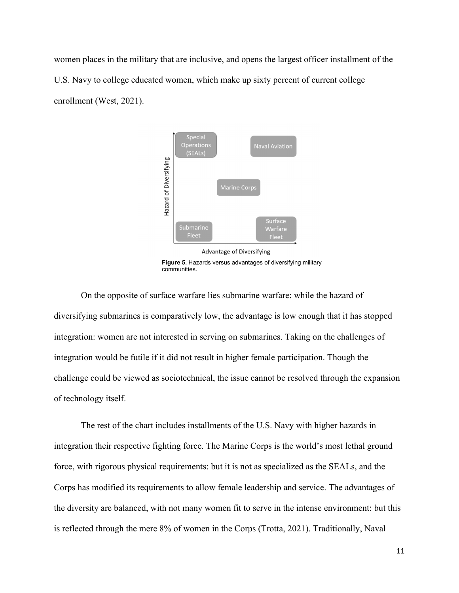women places in the military that are inclusive, and opens the largest officer installment of the U.S. Navy to college educated women, which make up sixty percent of current college enrollment (West, 2021).



 Figure 5. Hazards versus advantages of diversifying military communities.

 On the opposite of surface warfare lies submarine warfare: while the hazard of diversifying submarines is comparatively low, the advantage is low enough that it has stopped integration: women are not interested in serving on submarines. Taking on the challenges of integration would be futile if it did not result in higher female participation. Though the challenge could be viewed as sociotechnical, the issue cannot be resolved through the expansion of technology itself.

 The rest of the chart includes installments of the U.S. Navy with higher hazards in integration their respective fighting force. The Marine Corps is the world's most lethal ground force, with rigorous physical requirements: but it is not as specialized as the SEALs, and the Corps has modified its requirements to allow female leadership and service. The advantages of the diversity are balanced, with not many women fit to serve in the intense environment: but this is reflected through the mere 8% of women in the Corps (Trotta, 2021). Traditionally, Naval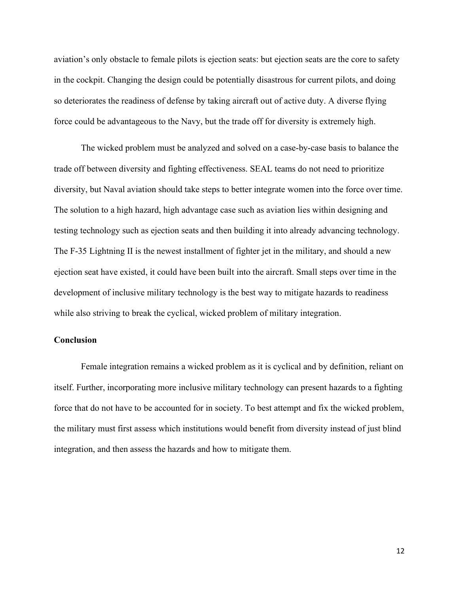aviation's only obstacle to female pilots is ejection seats: but ejection seats are the core to safety in the cockpit. Changing the design could be potentially disastrous for current pilots, and doing so deteriorates the readiness of defense by taking aircraft out of active duty. A diverse flying force could be advantageous to the Navy, but the trade off for diversity is extremely high.

 The wicked problem must be analyzed and solved on a case-by-case basis to balance the trade off between diversity and fighting effectiveness. SEAL teams do not need to prioritize diversity, but Naval aviation should take steps to better integrate women into the force over time. The solution to a high hazard, high advantage case such as aviation lies within designing and testing technology such as ejection seats and then building it into already advancing technology. The F-35 Lightning II is the newest installment of fighter jet in the military, and should a new ejection seat have existed, it could have been built into the aircraft. Small steps over time in the development of inclusive military technology is the best way to mitigate hazards to readiness while also striving to break the cyclical, wicked problem of military integration.

## **Conclusion**

 Female integration remains a wicked problem as it is cyclical and by definition, reliant on itself. Further, incorporating more inclusive military technology can present hazards to a fighting force that do not have to be accounted for in society. To best attempt and fix the wicked problem, the military must first assess which institutions would benefit from diversity instead of just blind integration, and then assess the hazards and how to mitigate them.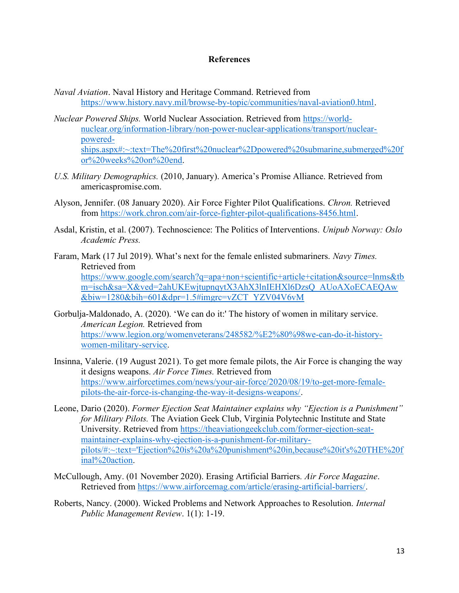## References

- Naval Aviation. Naval History and Heritage Command. Retrieved from https://www.history.navy.mil/browse-by-topic/communities/naval-aviation0.html.
- Nuclear Powered Ships. World Nuclear Association. Retrieved from https://worldnuclear.org/information-library/non-power-nuclear-applications/transport/nuclearpoweredships.aspx#:~:text=The%20first%20nuclear%2Dpowered%20submarine,submerged%20f or%20weeks%20on%20end.
- U.S. Military Demographics. (2010, January). America's Promise Alliance. Retrieved from americaspromise.com.
- Alyson, Jennifer. (08 January 2020). Air Force Fighter Pilot Qualifications. Chron. Retrieved from https://work.chron.com/air-force-fighter-pilot-qualifications-8456.html.
- Asdal, Kristin, et al. (2007). Technoscience: The Politics of Interventions. Unipub Norway: Oslo Academic Press.
- Faram, Mark (17 Jul 2019). What's next for the female enlisted submariners. Navy Times. Retrieved from https://www.google.com/search?q=apa+non+scientific+article+citation&source=lnms&tb m=isch&sa=X&ved=2ahUKEwjtupnqytX3AhX3lnIEHXl6DzsQ\_AUoAXoECAEQAw &biw=1280&bih=601&dpr=1.5#imgrc=vZCT\_YZV04V6vM
- Gorbulja-Maldonado, A. (2020). 'We can do it:' The history of women in military service. American Legion. Retrieved from https://www.legion.org/womenveterans/248582/%E2%80%98we-can-do-it-historywomen-military-service.
- Insinna, Valerie. (19 August 2021). To get more female pilots, the Air Force is changing the way it designs weapons. Air Force Times. Retrieved from https://www.airforcetimes.com/news/your-air-force/2020/08/19/to-get-more-femalepilots-the-air-force-is-changing-the-way-it-designs-weapons/.
- Leone, Dario (2020). Former Ejection Seat Maintainer explains why "Ejection is a Punishment" for Military Pilots. The Aviation Geek Club, Virginia Polytechnic Institute and State University. Retrieved from https://theaviationgeekclub.com/former-ejection-seatmaintainer-explains-why-ejection-is-a-punishment-for-militarypilots/#:~:text='Ejection%20is%20a%20punishment%20in,because%20it's%20THE%20f inal%20action.
- McCullough, Amy. (01 November 2020). Erasing Artificial Barriers. Air Force Magazine. Retrieved from https://www.airforcemag.com/article/erasing-artificial-barriers/.
- Roberts, Nancy. (2000). Wicked Problems and Network Approaches to Resolution. Internal Public Management Review. 1(1): 1-19.